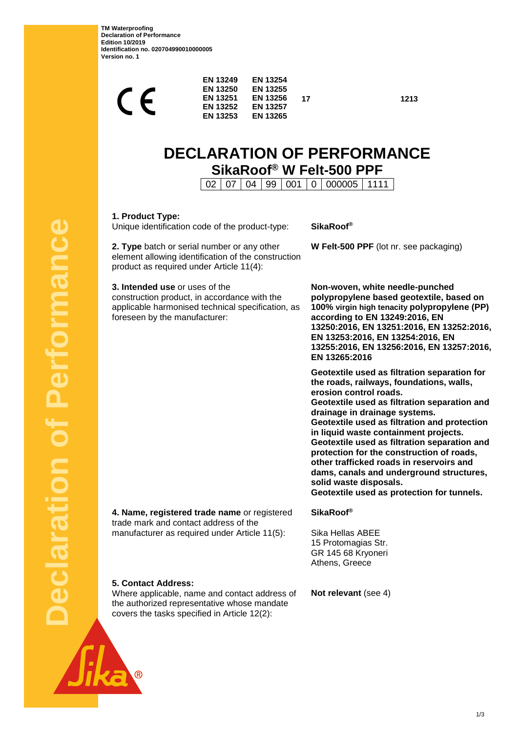**TM Waterproofing Declaration of Performance Edition 10/2019 Identification no. 020704990010000005 Version no. 1**

| <b>EN 13249</b> | <b>EN 13254</b> |    |
|-----------------|-----------------|----|
| <b>EN 13250</b> | <b>EN 13255</b> |    |
| <b>EN 13251</b> | <b>EN 13256</b> | 17 |
| <b>EN 13252</b> | <b>EN 13257</b> |    |
| <b>EN 13253</b> | <b>EN 13265</b> |    |
|                 |                 |    |

**17 1213**

# **DECLARATION OF PERFORMANCE SikaRoof® W Felt-500 PPF**

02 07 04 99 001 0 000005 1111

| 1. Product Type:<br>Unique identification code of the product-type: |                                                                                                                                                                            | SikaRoof®                                                                                                                                                                                                                                                                                                                                                                                                                                                                                                                                                 |  |  |
|---------------------------------------------------------------------|----------------------------------------------------------------------------------------------------------------------------------------------------------------------------|-----------------------------------------------------------------------------------------------------------------------------------------------------------------------------------------------------------------------------------------------------------------------------------------------------------------------------------------------------------------------------------------------------------------------------------------------------------------------------------------------------------------------------------------------------------|--|--|
|                                                                     | 2. Type batch or serial number or any other<br>element allowing identification of the construction<br>product as required under Article 11(4):                             | W Felt-500 PPF (lot nr. see packaging)                                                                                                                                                                                                                                                                                                                                                                                                                                                                                                                    |  |  |
|                                                                     | 3. Intended use or uses of the<br>construction product, in accordance with the<br>applicable harmonised technical specification, as<br>foreseen by the manufacturer:       | Non-woven, white needle-punched<br>polypropylene based geotextile, based on<br>100% virgin high tenacity polypropylene (PP)<br>according to EN 13249:2016, EN<br>13250:2016, EN 13251:2016, EN 13252:2016,<br>EN 13253:2016, EN 13254:2016, EN<br>13255:2016, EN 13256:2016, EN 13257:2016,<br>EN 13265:2016                                                                                                                                                                                                                                              |  |  |
|                                                                     |                                                                                                                                                                            | Geotextile used as filtration separation for<br>the roads, railways, foundations, walls,<br>erosion control roads.<br>Geotextile used as filtration separation and<br>drainage in drainage systems.<br>Geotextile used as filtration and protection<br>in liquid waste containment projects.<br>Geotextile used as filtration separation and<br>protection for the construction of roads,<br>other trafficked roads in reservoirs and<br>dams, canals and underground structures,<br>solid waste disposals.<br>Geotextile used as protection for tunnels. |  |  |
|                                                                     | 4. Name, registered trade name or registered<br>trade mark and contact address of the                                                                                      | <b>SikaRoof®</b>                                                                                                                                                                                                                                                                                                                                                                                                                                                                                                                                          |  |  |
|                                                                     | manufacturer as required under Article 11(5):                                                                                                                              | Sika Hellas ABEE<br>15 Protomagias Str.<br>GR 145 68 Kryoneri<br>Athens, Greece                                                                                                                                                                                                                                                                                                                                                                                                                                                                           |  |  |
|                                                                     | <b>5. Contact Address:</b><br>Where applicable, name and contact address of<br>the authorized representative whose mandate<br>covers the tasks specified in Article 12(2): | Not relevant (see 4)                                                                                                                                                                                                                                                                                                                                                                                                                                                                                                                                      |  |  |

 $\overline{\circ}$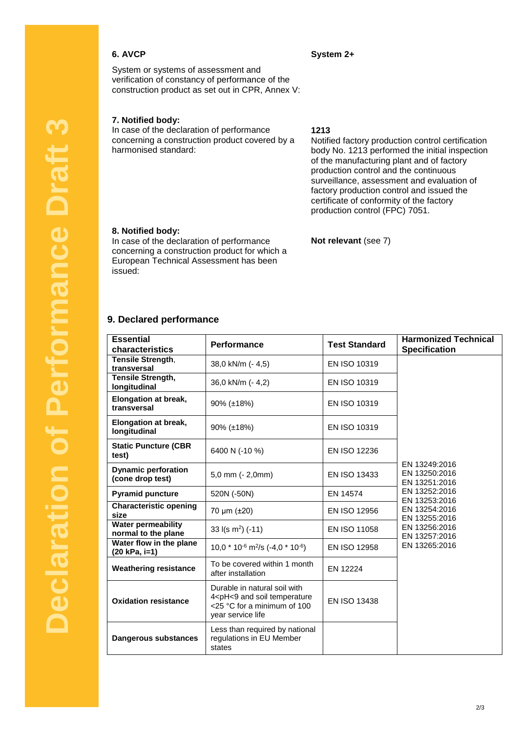### **6. AVCP**

System or systems of assessment and verification of constancy of performance of the construction product as set out in CPR, Annex V:

#### **7. Notified body:**

In case of the declaration of performance concerning a construction product covered by a harmonised standard:

### **1213**

**Not relevant** (see 7)

Notified factory production control certification body No. 1213 performed the initial inspection of the manufacturing plant and of factory production control and the continuous surveillance, assessment and evaluation of factory production control and issued the certificate of conformity of the factory production control (FPC) 7051.

#### **8. Notified body:**

In case of the declaration of performance concerning a construction product for which a European Technical Assessment has been issued:

**9. Declared performance**

| <b>Essential</b><br>characteristics              | Performance                                                                                                                          | <b>Test Standard</b> | <b>Harmonized Technical</b><br><b>Specification</b>                                                                                                                    |
|--------------------------------------------------|--------------------------------------------------------------------------------------------------------------------------------------|----------------------|------------------------------------------------------------------------------------------------------------------------------------------------------------------------|
| Tensile Strength,<br>transversal                 | 38,0 kN/m (- 4,5)                                                                                                                    | EN ISO 10319         | EN 13249:2016<br>EN 13250:2016<br>EN 13251:2016<br>EN 13252:2016<br>EN 13253:2016<br>EN 13254:2016<br>EN 13255:2016<br>EN 13256:2016<br>EN 13257:2016<br>EN 13265:2016 |
| <b>Tensile Strength,</b><br>longitudinal         | 36,0 kN/m (- 4,2)                                                                                                                    | EN ISO 10319         |                                                                                                                                                                        |
| Elongation at break,<br>transversal              | $90\%$ ( $\pm$ 18%)                                                                                                                  | EN ISO 10319         |                                                                                                                                                                        |
| Elongation at break,<br>longitudinal             | $90\%$ ( $\pm$ 18%)                                                                                                                  | EN ISO 10319         |                                                                                                                                                                        |
| <b>Static Puncture (CBR)</b><br>test)            | 6400 N (-10 %)                                                                                                                       | EN ISO 12236         |                                                                                                                                                                        |
| <b>Dynamic perforation</b><br>(cone drop test)   | $5,0$ mm $(-2,0$ mm $)$                                                                                                              | EN ISO 13433         |                                                                                                                                                                        |
| <b>Pyramid puncture</b>                          | 520N (-50N)                                                                                                                          | EN 14574             |                                                                                                                                                                        |
| <b>Characteristic opening</b><br>size            | 70 µm (±20)                                                                                                                          | EN ISO 12956         |                                                                                                                                                                        |
| <b>Water permeability</b><br>normal to the plane | 33 $I(s \, m^2)$ (-11)                                                                                                               | EN ISO 11058         |                                                                                                                                                                        |
| Water flow in the plane<br>(20 kPa, i=1)         | 10,0 $*$ 10 <sup>-6</sup> m <sup>2</sup> /s (-4,0 $*$ 10 <sup>-6</sup> )                                                             | EN ISO 12958         |                                                                                                                                                                        |
| <b>Weathering resistance</b>                     | To be covered within 1 month<br>after installation                                                                                   | EN 12224             |                                                                                                                                                                        |
| <b>Oxidation resistance</b>                      | Durable in natural soil with<br>4 <ph<9 and="" soil="" temperature<br="">&lt;25 °C for a minimum of 100<br/>year service life</ph<9> | <b>EN ISO 13438</b>  |                                                                                                                                                                        |
| <b>Dangerous substances</b>                      | Less than required by national<br>regulations in EU Member<br>states                                                                 |                      |                                                                                                                                                                        |